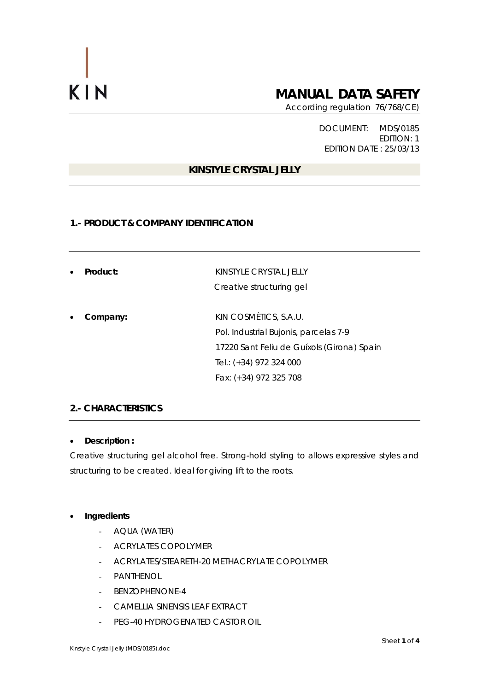# **MANUAL DATA SAFETY**

According regulation 76/768/CE)

DOCUMENT: MDS/0185 EDITION: 1 EDITION DATE : 25/03/13

# **KINSTYLE CRYSTAL JELLY**

#### **1.- PRODUCT & COMPANY IDENTIFICATION**

| $\bullet$ | Product: | KINSTYLE CRYSTAL JELLY<br>Creative structuring gel |
|-----------|----------|----------------------------------------------------|
| $\bullet$ | Company: | KIN COSMÈTICS, S.A.U.                              |
|           |          | Pol. Industrial Bujonis, parcelas 7-9              |
|           |          | 17220 Sant Feliu de Guíxols (Girona) Spain         |
|           |          | Tel.: (+34) 972 324 000                            |
|           |          | Fax: (+34) 972 325 708                             |

### **2.- CHARACTERISTICS**

#### • **Description :**

Creative structuring gel alcohol free. Strong-hold styling to allows expressive styles and structuring to be created. Ideal for giving lift to the roots.

#### • **Ingredients**

- AQUA (WATER)
- ACRYLATES COPOLYMER
- ACRYLATES/STEARETH-20 METHACRYLATE COPOLYMER
- PANTHENOL
- BENZOPHENONE-4
- CAMELLIA SINENSIS LEAF EXTRACT
- PEG-40 HYDROGENATED CASTOR OIL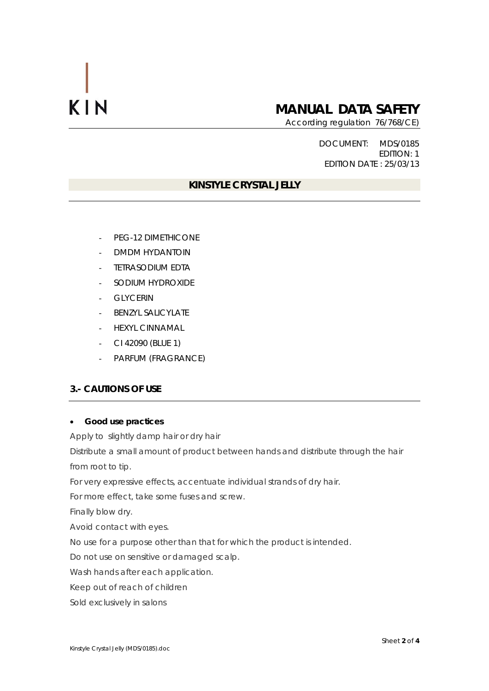# **MANUAL DATA SAFETY**

According regulation 76/768/CE)

DOCUMENT: MDS/0185 EDITION: 1 EDITION DATE : 25/03/13

# **KINSTYLE CRYSTAL JELLY**

- PEG-12 DIMETHICONE
- DMDM HYDANTOIN
- TETRASODIUM EDTA
- SODIUM HYDROXIDE
- GLYCERIN
- BENZYL SALICYLATE
- HEXYL CINNAMAL
- CI 42090 (BLUE 1)
- PARFUM (FRAGRANCE)

# **3.- CAUTIONS OF USE**

### • **Good use practices**

Apply to slightly damp hair or dry hair

Distribute a small amount of product between hands and distribute through the hair from root to tip.

For very expressive effects, accentuate individual strands of dry hair.

For more effect, take some fuses and screw.

Finally blow dry.

Avoid contact with eyes.

No use for a purpose other than that for which the product is intended.

Do not use on sensitive or damaged scalp.

Wash hands after each application.

Keep out of reach of children

Sold exclusively in salons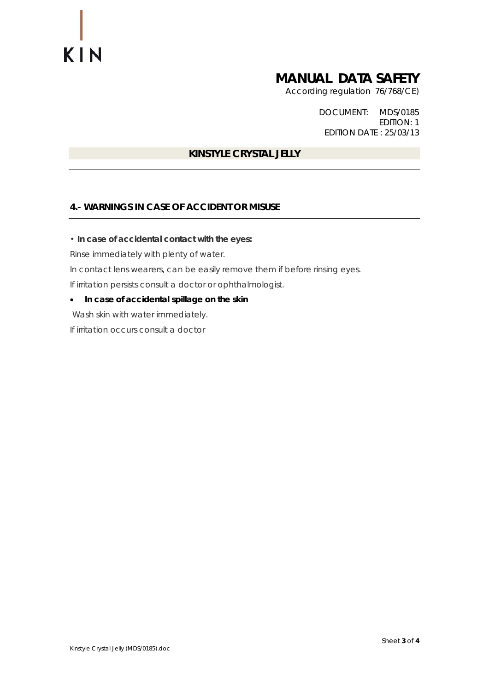# **MANUAL DATA SAFETY**

According regulation 76/768/CE)

DOCUMENT: MDS/0185 EDITION: 1 EDITION DATE : 25/03/13

# **KINSTYLE CRYSTAL JELLY**

# **4.- WARNINGS IN CASE OF ACCIDENT OR MISUSE**

• **In case of accidental contact with the eyes:** 

Rinse immediately with plenty of water.

In contact lens wearers, can be easily remove them if before rinsing eyes.

If irritation persists consult a doctor or ophthalmologist.

• **In case of accidental spillage on the skin** 

Wash skin with water immediately.

If irritation occurs consult a doctor